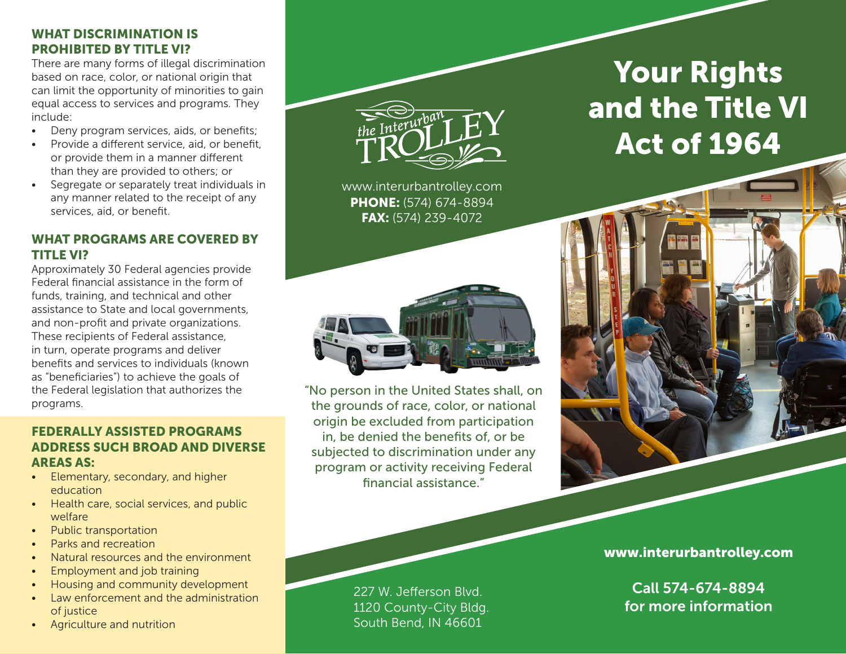# WHAT DISCRIMINATION IS PROHIBITED BY TITLE VI?

There are many forms of illegal discrimination based on race, color, or national origin that can limit the opportunity of minorities to gain equal access to services and programs. They include:

- Deny program services, aids, or benefits;
- Provide a different service, aid, or benefit, or provide them in a manner different than they are provided to others; or
- Segregate or separately treat individuals in any manner related to the receipt of any services, aid, or benefit.

# WHAT PROGRAMS ARE COVERED BY TITLE VI?

Approximately 30 Federal agencies provide Federal financial assistance in the form of funds, training, and technical and other assistance to State and local governments, and non-profit and private organizations. These recipients of Federal assistance, in turn, operate programs and deliver benefits and services to individuals (known as "beneficiaries") to achieve the goals of the Federal legislation that authorizes the programs.

# FEDERALLY ASSISTED PROGRAMS ADDRESS SUCH BROAD AND DIVERSE AREAS AS:

- Elementary, secondary, and higher education
- Health care, social services, and public welfare
- Public transportation
- Parks and recreation
- Natural resources and the environment
- Employment and job training
- Housing and community development
- Law enforcement and the administration of justice
- Agriculture and nutrition



www.interurbantrolley.com PHONE: (574) 674-8894 FAX: (574) 239-4072



"No person in the United States shall, on the grounds of race, color, or national origin be excluded from participation in, be denied the benefits of, or be subjected to discrimination under any program or activity receiving Federal financial assistance."

# Your Rights and the Title VI Act of 1964



Call 574-674-8894 for more information

227 W. Jefferson Blvd. 1120 County-City Bldg. South Bend, IN 46601